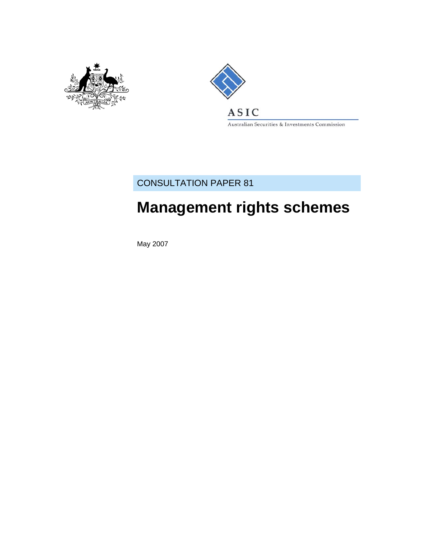



Australian Securities & Investments Commission

# CONSULTATION PAPER 81

# **Management rights schemes**

May 2007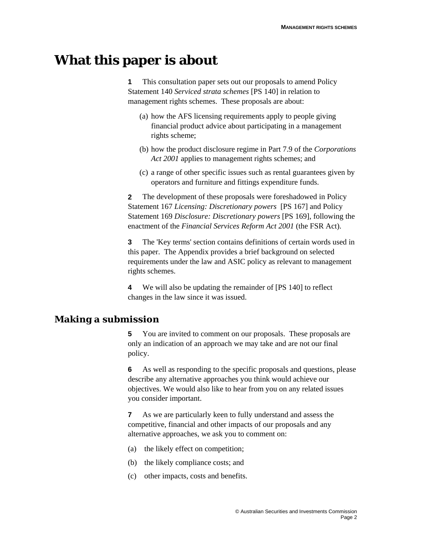# **What this paper is about**

**1** This consultation paper sets out our proposals to amend Policy Statement 140 *Serviced strata schemes* [PS 140] in relation to management rights schemes. These proposals are about:

- (a) how the AFS licensing requirements apply to people giving financial product advice about participating in a management rights scheme;
- (b) how the product disclosure regime in Part 7.9 of the *Corporations Act 2001* applies to management rights schemes; and
- (c) a range of other specific issues such as rental guarantees given by operators and furniture and fittings expenditure funds.

**2** The development of these proposals were foreshadowed in Policy Statement 167 *Licensing: Discretionary powers* [PS 167] and Policy Statement 169 *Disclosure: Discretionary powers* [PS 169], following the enactment of the *Financial Services Reform Act 2001* (the FSR Act).

**3** The 'Key terms' section contains definitions of certain words used in this paper. The Appendix provides a brief background on selected requirements under the law and ASIC policy as relevant to management rights schemes.

**4** We will also be updating the remainder of [PS 140] to reflect changes in the law since it was issued.

## **Making a submission**

**5** You are invited to comment on our proposals. These proposals are only an indication of an approach we may take and are not our final policy.

**6** As well as responding to the specific proposals and questions, please describe any alternative approaches you think would achieve our objectives. We would also like to hear from you on any related issues you consider important.

**7** As we are particularly keen to fully understand and assess the competitive, financial and other impacts of our proposals and any alternative approaches, we ask you to comment on:

- (a) the likely effect on competition;
- (b) the likely compliance costs; and
- (c) other impacts, costs and benefits.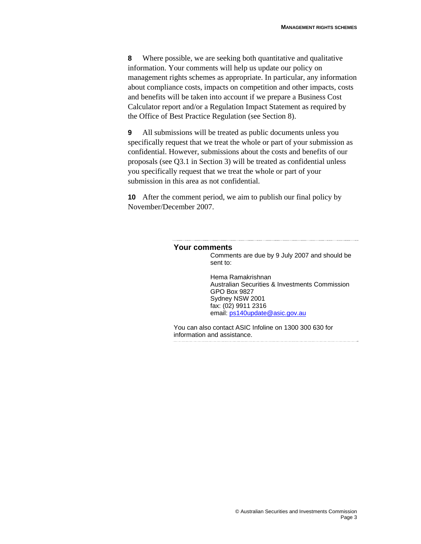**8** Where possible, we are seeking both quantitative and qualitative information. Your comments will help us update our policy on management rights schemes as appropriate. In particular, any information about compliance costs, impacts on competition and other impacts, costs and benefits will be taken into account if we prepare a Business Cost Calculator report and/or a Regulation Impact Statement as required by the Office of Best Practice Regulation (see Section 8).

**9** All submissions will be treated as public documents unless you specifically request that we treat the whole or part of your submission as confidential. However, submissions about the costs and benefits of our proposals (see Q3.1 in Section 3) will be treated as confidential unless you specifically request that we treat the whole or part of your submission in this area as not confidential.

**10** After the comment period, we aim to publish our final policy by November/December 2007.

#### **Your comments**

Comments are due by 9 July 2007 and should be sent to:

Hema Ramakrishnan Australian Securities & Investments Commission GPO Box 9827 Sydney NSW 2001 fax: (02) 9911 2316 email: ps140update@asic.gov.au

You can also contact ASIC Infoline on 1300 300 630 for information and assistance.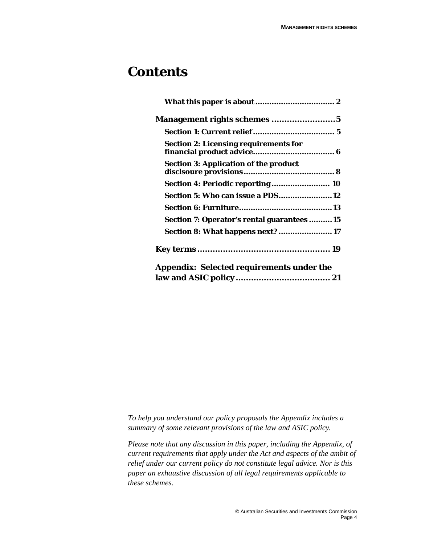# **Contents**

| <b>Section 2: Licensing requirements for</b>     |
|--------------------------------------------------|
| <b>Section 3: Application of the product</b>     |
| Section 4: Periodic reporting  10                |
| <b>Section 5: Who can issue a PDS12</b>          |
|                                                  |
| Section 7: Operator's rental guarantees15        |
| Section 8: What happens next?  17                |
|                                                  |
| <b>Appendix: Selected requirements under the</b> |
|                                                  |

*To help you understand our policy proposals the Appendix includes a summary of some relevant provisions of the law and ASIC policy.* 

*Please note that any discussion in this paper, including the Appendix, of current requirements that apply under the Act and aspects of the ambit of relief under our current policy do not constitute legal advice. Nor is this paper an exhaustive discussion of all legal requirements applicable to these schemes.*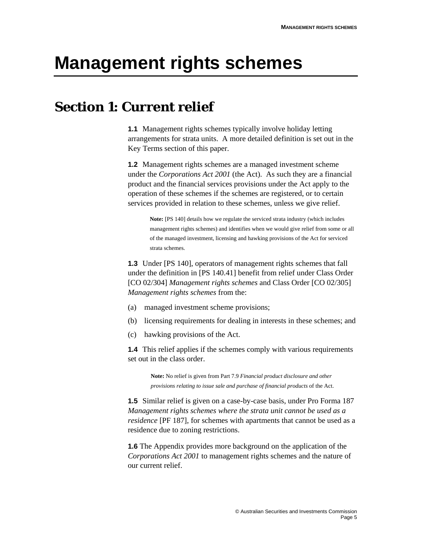# **Management rights schemes**

# **Section 1: Current relief**

**1.1** Management rights schemes typically involve holiday letting arrangements for strata units. A more detailed definition is set out in the Key Terms section of this paper.

**1.2** Management rights schemes are a managed investment scheme under the *Corporations Act 2001* (the Act). As such they are a financial product and the financial services provisions under the Act apply to the operation of these schemes if the schemes are registered, or to certain services provided in relation to these schemes, unless we give relief.

**Note:** [PS 140] details how we regulate the serviced strata industry (which includes management rights schemes) and identifies when we would give relief from some or all of the managed investment, licensing and hawking provisions of the Act for serviced strata schemes.

**1.3** Under [PS 140], operators of management rights schemes that fall under the definition in [PS 140.41] benefit from relief under Class Order [CO 02/304] *Management rights schemes* and Class Order [CO 02/305] *Management rights schemes* from the:

- (a) managed investment scheme provisions;
- (b) licensing requirements for dealing in interests in these schemes; and
- (c) hawking provisions of the Act.

**1.4** This relief applies if the schemes comply with various requirements set out in the class order.

> **Note:** No relief is given from Part 7.9 *Financial product disclosure and other provisions relating to issue sale and purchase of financial products* of the Act.

**1.5** Similar relief is given on a case-by-case basis, under Pro Forma 187 *Management rights schemes where the strata unit cannot be used as a residence* [PF 187], for schemes with apartments that cannot be used as a residence due to zoning restrictions.

**1.6** The Appendix provides more background on the application of the *Corporations Act 2001* to management rights schemes and the nature of our current relief.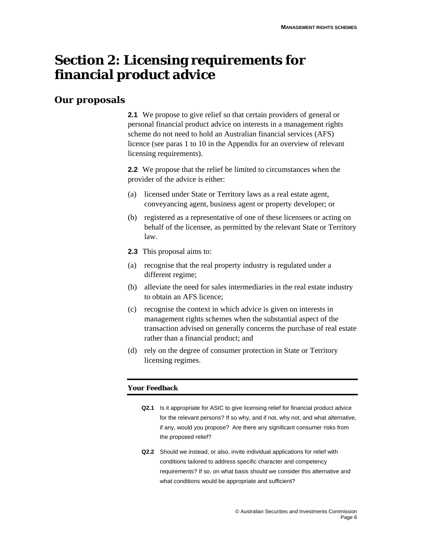# **Section 2: Licensing requirements for financial product advice**

## **Our proposals**

**2.1** We propose to give relief so that certain providers of general or personal financial product advice on interests in a management rights scheme do not need to hold an Australian financial services (AFS) licence (see paras 1 to 10 in the Appendix for an overview of relevant licensing requirements).

**2.2** We propose that the relief be limited to circumstances when the provider of the advice is either:

- (a) licensed under State or Territory laws as a real estate agent, conveyancing agent, business agent or property developer; or
- (b) registered as a representative of one of these licensees or acting on behalf of the licensee, as permitted by the relevant State or Territory law.
- **2.3** This proposal aims to:
- (a) recognise that the real property industry is regulated under a different regime;
- (b) alleviate the need for sales intermediaries in the real estate industry to obtain an AFS licence;
- (c) recognise the context in which advice is given on interests in management rights schemes when the substantial aspect of the transaction advised on generally concerns the purchase of real estate rather than a financial product; and
- (d) rely on the degree of consumer protection in State or Territory licensing regimes.

- **Q2.1** Is it appropriate for ASIC to give licensing relief for financial product advice for the relevant persons? If so why, and if not, why not, and what alternative, if any, would you propose? Are there any significant consumer risks from the proposed relief?
- **Q2.2** Should we instead, or also, invite individual applications for relief with conditions tailored to address specific character and competency requirements? If so, on what basis should we consider this alternative and what conditions would be appropriate and sufficient?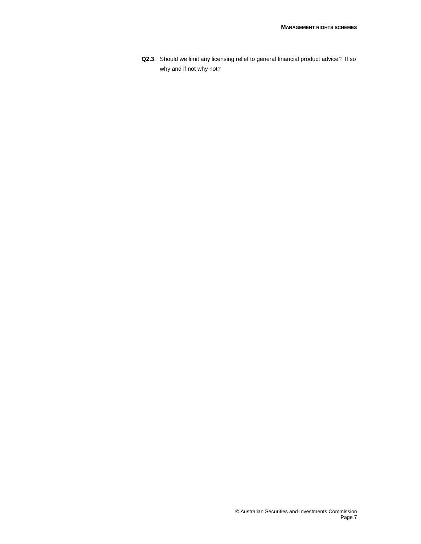**Q2.3**. Should we limit any licensing relief to general financial product advice? If so why and if not why not?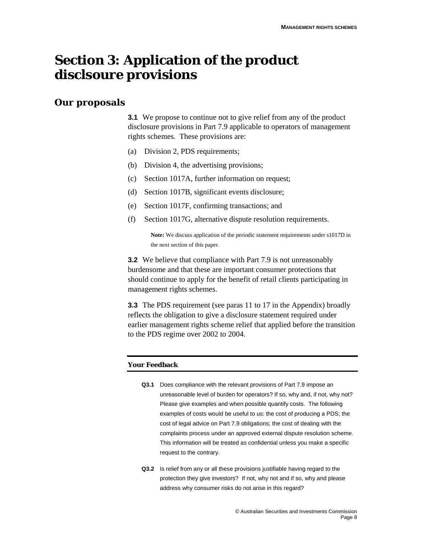# **Section 3: Application of the product disclsoure provisions**

## **Our proposals**

**3.1** We propose to continue not to give relief from any of the product disclosure provisions in Part 7.9 applicable to operators of management rights schemes. These provisions are:

- (a) Division 2, PDS requirements;
- (b) Division 4, the advertising provisions;
- (c) Section 1017A, further information on request;
- (d) Section 1017B, significant events disclosure;
- (e) Section 1017F, confirming transactions; and
- (f) Section 1017G, alternative dispute resolution requirements.

**Note:** We discuss application of the periodic statement requirements under s1017D in the next section of this paper.

**3.2** We believe that compliance with Part 7.9 is not unreasonably burdensome and that these are important consumer protections that should continue to apply for the benefit of retail clients participating in management rights schemes.

**3.3** The PDS requirement (see paras 11 to 17 in the Appendix) broadly reflects the obligation to give a disclosure statement required under earlier management rights scheme relief that applied before the transition to the PDS regime over 2002 to 2004.

- **Q3.1** Does compliance with the relevant provisions of Part 7.9 impose an unreasonable level of burden for operators? If so, why and, if not, why not? Please give examples and when possible quantify costs. The following examples of costs would be useful to us: the cost of producing a PDS; the cost of legal advice on Part 7.9 obligations; the cost of dealing with the complaints process under an approved external dispute resolution scheme. This information will be treated as confidential unless you make a specific request to the contrary.
- **Q3.2** Is relief from any or all these provisions justifiable having regard to the protection they give investors? If not, why not and if so, why and please address why consumer risks do not arise in this regard?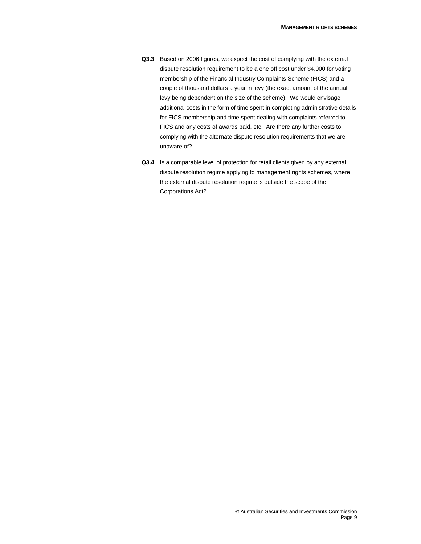- **Q3.3** Based on 2006 figures, we expect the cost of complying with the external dispute resolution requirement to be a one off cost under \$4,000 for voting membership of the Financial Industry Complaints Scheme (FICS) and a couple of thousand dollars a year in levy (the exact amount of the annual levy being dependent on the size of the scheme). We would envisage additional costs in the form of time spent in completing administrative details for FICS membership and time spent dealing with complaints referred to FICS and any costs of awards paid, etc. Are there any further costs to complying with the alternate dispute resolution requirements that we are unaware of?
- **Q3.4** Is a comparable level of protection for retail clients given by any external dispute resolution regime applying to management rights schemes, where the external dispute resolution regime is outside the scope of the Corporations Act?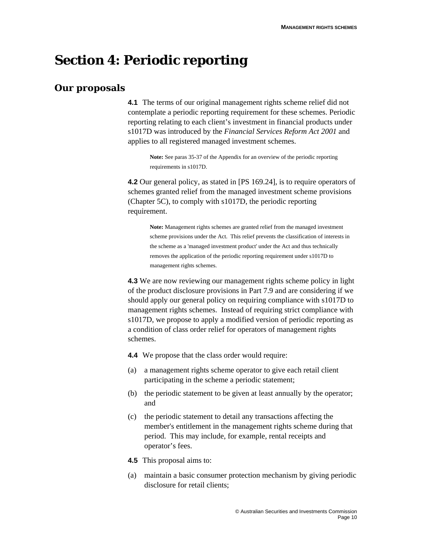# **Section 4: Periodic reporting**

## **Our proposals**

**4.1** The terms of our original management rights scheme relief did not contemplate a periodic reporting requirement for these schemes. Periodic reporting relating to each client's investment in financial products under s1017D was introduced by the *Financial Services Reform Act 2001* and applies to all registered managed investment schemes.

**Note:** See paras 35-37 of the Appendix for an overview of the periodic reporting requirements in s1017D.

**4.2** Our general policy, as stated in [PS 169.24], is to require operators of schemes granted relief from the managed investment scheme provisions (Chapter 5C), to comply with s1017D, the periodic reporting requirement.

**Note:** Management rights schemes are granted relief from the managed investment scheme provisions under the Act. This relief prevents the classification of interests in the scheme as a 'managed investment product' under the Act and thus technically removes the application of the periodic reporting requirement under s1017D to management rights schemes.

**4.3** We are now reviewing our management rights scheme policy in light of the product disclosure provisions in Part 7.9 and are considering if we should apply our general policy on requiring compliance with s1017D to management rights schemes. Instead of requiring strict compliance with s1017D, we propose to apply a modified version of periodic reporting as a condition of class order relief for operators of management rights schemes.

**4.4** We propose that the class order would require:

- (a) a management rights scheme operator to give each retail client participating in the scheme a periodic statement;
- (b) the periodic statement to be given at least annually by the operator; and
- (c) the periodic statement to detail any transactions affecting the member's entitlement in the management rights scheme during that period. This may include, for example, rental receipts and operator's fees.
- **4.5** This proposal aims to:
- (a) maintain a basic consumer protection mechanism by giving periodic disclosure for retail clients;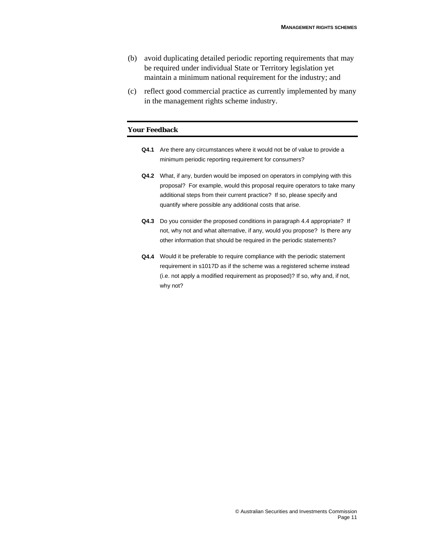- (b) avoid duplicating detailed periodic reporting requirements that may be required under individual State or Territory legislation yet maintain a minimum national requirement for the industry; and
- (c) reflect good commercial practice as currently implemented by many in the management rights scheme industry.

- **Q4.1** Are there any circumstances where it would not be of value to provide a minimum periodic reporting requirement for consumers?
- **Q4.2** What, if any, burden would be imposed on operators in complying with this proposal? For example, would this proposal require operators to take many additional steps from their current practice? If so, please specify and quantify where possible any additional costs that arise.
- **Q4.3** Do you consider the proposed conditions in paragraph 4.4 appropriate? If not, why not and what alternative, if any, would you propose? Is there any other information that should be required in the periodic statements?
- **Q4.4** Would it be preferable to require compliance with the periodic statement requirement in s1017D as if the scheme was a registered scheme instead (i.e. not apply a modified requirement as proposed)? If so, why and, if not, why not?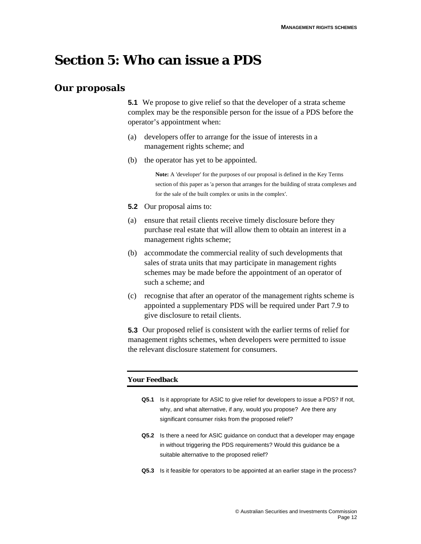# **Section 5: Who can issue a PDS**

## **Our proposals**

**5.1** We propose to give relief so that the developer of a strata scheme complex may be the responsible person for the issue of a PDS before the operator's appointment when:

- (a) developers offer to arrange for the issue of interests in a management rights scheme; and
- (b) the operator has yet to be appointed.

**Note:** A 'developer' for the purposes of our proposal is defined in the Key Terms section of this paper as 'a person that arranges for the building of strata complexes and for the sale of the built complex or units in the complex'.

- **5.2** Our proposal aims to:
- (a) ensure that retail clients receive timely disclosure before they purchase real estate that will allow them to obtain an interest in a management rights scheme;
- (b) accommodate the commercial reality of such developments that sales of strata units that may participate in management rights schemes may be made before the appointment of an operator of such a scheme; and
- (c) recognise that after an operator of the management rights scheme is appointed a supplementary PDS will be required under Part 7.9 to give disclosure to retail clients.

**5.3** Our proposed relief is consistent with the earlier terms of relief for management rights schemes, when developers were permitted to issue the relevant disclosure statement for consumers.

- **Q5.1** Is it appropriate for ASIC to give relief for developers to issue a PDS? If not, why, and what alternative, if any, would you propose? Are there any significant consumer risks from the proposed relief?
- **Q5.2** Is there a need for ASIC guidance on conduct that a developer may engage in without triggering the PDS requirements? Would this guidance be a suitable alternative to the proposed relief?
- **Q5.3** Is it feasible for operators to be appointed at an earlier stage in the process?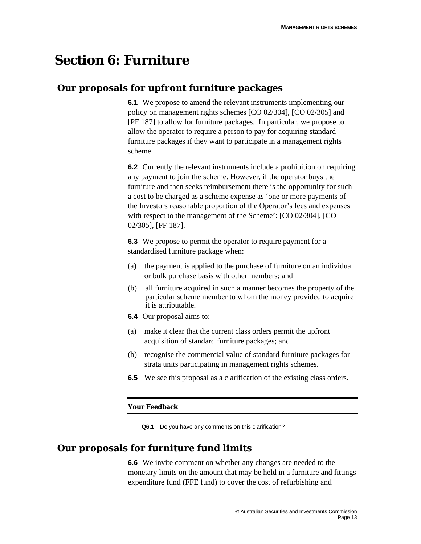# **Section 6: Furniture**

# **Our proposals for upfront furniture packages**

**6.1** We propose to amend the relevant instruments implementing our policy on management rights schemes [CO 02/304], [CO 02/305] and [PF 187] to allow for furniture packages. In particular, we propose to allow the operator to require a person to pay for acquiring standard furniture packages if they want to participate in a management rights scheme.

**6.2** Currently the relevant instruments include a prohibition on requiring any payment to join the scheme. However, if the operator buys the furniture and then seeks reimbursement there is the opportunity for such a cost to be charged as a scheme expense as 'one or more payments of the Investors reasonable proportion of the Operator's fees and expenses with respect to the management of the Scheme': [CO 02/304], [CO 02/305], [PF 187].

**6.3** We propose to permit the operator to require payment for a standardised furniture package when:

- (a) the payment is applied to the purchase of furniture on an individual or bulk purchase basis with other members; and
- (b) all furniture acquired in such a manner becomes the property of the particular scheme member to whom the money provided to acquire it is attributable.
- **6.4** Our proposal aims to:
- (a) make it clear that the current class orders permit the upfront acquisition of standard furniture packages; and
- (b) recognise the commercial value of standard furniture packages for strata units participating in management rights schemes.
- **6.5** We see this proposal as a clarification of the existing class orders.

### **Your Feedback**

**Q6.1** Do you have any comments on this clarification?

## **Our proposals for furniture fund limits**

**6.6** We invite comment on whether any changes are needed to the monetary limits on the amount that may be held in a furniture and fittings expenditure fund (FFE fund) to cover the cost of refurbishing and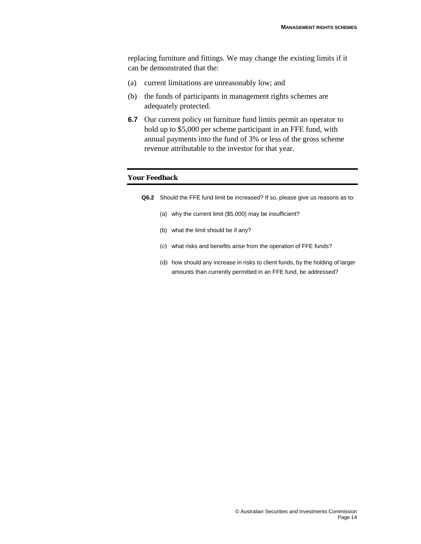replacing furniture and fittings. We may change the existing limits if it can be demonstrated that the:

- (a) current limitations are unreasonably low; and
- (b) the funds of participants in management rights schemes are adequately protected.
- **6.7** Our current policy on furniture fund limits permit an operator to hold up to \$5,000 per scheme participant in an FFE fund, with annual payments into the fund of 3% or less of the gross scheme revenue attributable to the investor for that year.

- **Q6.2** Should the FFE fund limit be increased? If so, please give us reasons as to:
	- (a) why the current limit (\$5,000) may be insufficient?
	- (b) what the limit should be if any?
	- (c) what risks and benefits arise from the operation of FFE funds?
	- (d) how should any increase in risks to client funds, by the holding of larger amounts than currently permitted in an FFE fund, be addressed?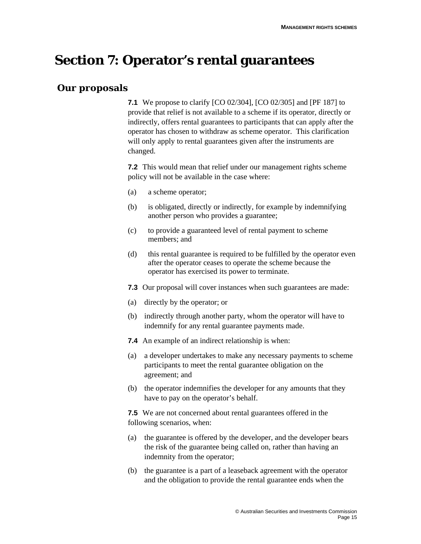# **Section 7: Operator's rental guarantees**

# **Our proposals**

**7.1** We propose to clarify [CO 02/304], [CO 02/305] and [PF 187] to provide that relief is not available to a scheme if its operator, directly or indirectly, offers rental guarantees to participants that can apply after the operator has chosen to withdraw as scheme operator. This clarification will only apply to rental guarantees given after the instruments are changed.

**7.2** This would mean that relief under our management rights scheme policy will not be available in the case where:

- (a) a scheme operator;
- (b) is obligated, directly or indirectly, for example by indemnifying another person who provides a guarantee;
- (c) to provide a guaranteed level of rental payment to scheme members; and
- (d) this rental guarantee is required to be fulfilled by the operator even after the operator ceases to operate the scheme because the operator has exercised its power to terminate.
- **7.3** Our proposal will cover instances when such guarantees are made:
- (a) directly by the operator; or
- (b) indirectly through another party, whom the operator will have to indemnify for any rental guarantee payments made.
- **7.4** An example of an indirect relationship is when:
- (a) a developer undertakes to make any necessary payments to scheme participants to meet the rental guarantee obligation on the agreement; and
- (b) the operator indemnifies the developer for any amounts that they have to pay on the operator's behalf.

**7.5** We are not concerned about rental guarantees offered in the following scenarios, when:

- (a) the guarantee is offered by the developer, and the developer bears the risk of the guarantee being called on, rather than having an indemnity from the operator;
- (b) the guarantee is a part of a leaseback agreement with the operator and the obligation to provide the rental guarantee ends when the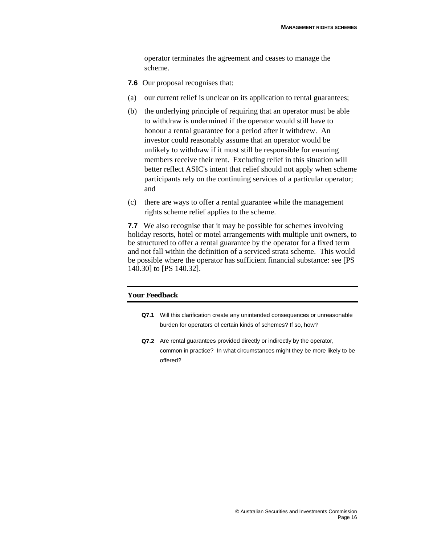operator terminates the agreement and ceases to manage the scheme.

- **7.6** Our proposal recognises that:
- (a) our current relief is unclear on its application to rental guarantees;
- (b) the underlying principle of requiring that an operator must be able to withdraw is undermined if the operator would still have to honour a rental guarantee for a period after it withdrew. An investor could reasonably assume that an operator would be unlikely to withdraw if it must still be responsible for ensuring members receive their rent. Excluding relief in this situation will better reflect ASIC's intent that relief should not apply when scheme participants rely on the continuing services of a particular operator; and
- (c) there are ways to offer a rental guarantee while the management rights scheme relief applies to the scheme.

**7.7** We also recognise that it may be possible for schemes involving holiday resorts, hotel or motel arrangements with multiple unit owners, to be structured to offer a rental guarantee by the operator for a fixed term and not fall within the definition of a serviced strata scheme. This would be possible where the operator has sufficient financial substance: see [PS 140.30] to [PS 140.32].

- **Q7.1** Will this clarification create any unintended consequences or unreasonable burden for operators of certain kinds of schemes? If so, how?
- **Q7.2** Are rental guarantees provided directly or indirectly by the operator, common in practice? In what circumstances might they be more likely to be offered?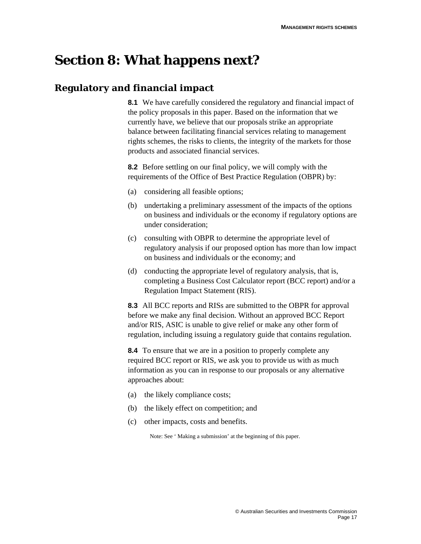# **Section 8: What happens next?**

# **Regulatory and financial impact**

**8.1** We have carefully considered the regulatory and financial impact of the policy proposals in this paper. Based on the information that we currently have, we believe that our proposals strike an appropriate balance between facilitating financial services relating to management rights schemes, the risks to clients, the integrity of the markets for those products and associated financial services.

**8.2** Before settling on our final policy, we will comply with the requirements of the Office of Best Practice Regulation (OBPR) by:

- (a) considering all feasible options;
- (b) undertaking a preliminary assessment of the impacts of the options on business and individuals or the economy if regulatory options are under consideration;
- (c) consulting with OBPR to determine the appropriate level of regulatory analysis if our proposed option has more than low impact on business and individuals or the economy; and
- (d) conducting the appropriate level of regulatory analysis, that is, completing a Business Cost Calculator report (BCC report) and/or a Regulation Impact Statement (RIS).

**8.3** All BCC reports and RISs are submitted to the OBPR for approval before we make any final decision. Without an approved BCC Report and/or RIS, ASIC is unable to give relief or make any other form of regulation, including issuing a regulatory guide that contains regulation.

**8.4** To ensure that we are in a position to properly complete any required BCC report or RIS, we ask you to provide us with as much information as you can in response to our proposals or any alternative approaches about:

- (a) the likely compliance costs;
- (b) the likely effect on competition; and
- (c) other impacts, costs and benefits.

Note: See ' Making a submission' at the beginning of this paper.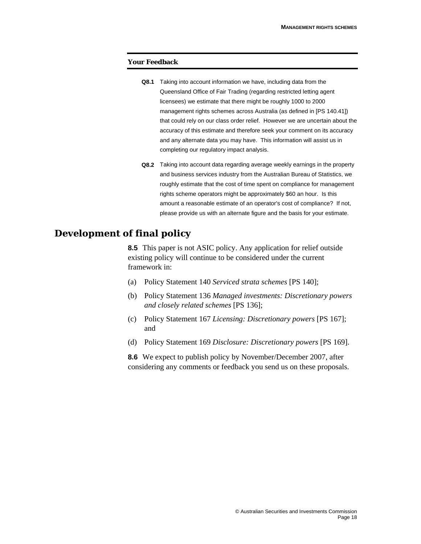#### **Your Feedback**

- **Q8.1** Taking into account information we have, including data from the Queensland Office of Fair Trading (regarding restricted letting agent licensees) we estimate that there might be roughly 1000 to 2000 management rights schemes across Australia (as defined in [PS 140.41]) that could rely on our class order relief. However we are uncertain about the accuracy of this estimate and therefore seek your comment on its accuracy and any alternate data you may have. This information will assist us in completing our regulatory impact analysis.
- **Q8.2** Taking into account data regarding average weekly earnings in the property and business services industry from the Australian Bureau of Statistics, we roughly estimate that the cost of time spent on compliance for management rights scheme operators might be approximately \$60 an hour. Is this amount a reasonable estimate of an operator's cost of compliance? If not, please provide us with an alternate figure and the basis for your estimate.

## **Development of final policy**

**8.5** This paper is not ASIC policy. Any application for relief outside existing policy will continue to be considered under the current framework in:

- (a) Policy Statement 140 *Serviced strata schemes* [PS 140];
- (b) Policy Statement 136 *Managed investments: Discretionary powers and closely related schemes* [PS 136];
- (c) Policy Statement 167 *Licensing: Discretionary powers* [PS 167]; and
- (d) Policy Statement 169 *Disclosure: Discretionary powers* [PS 169].

**8.6** We expect to publish policy by November/December 2007, after considering any comments or feedback you send us on these proposals.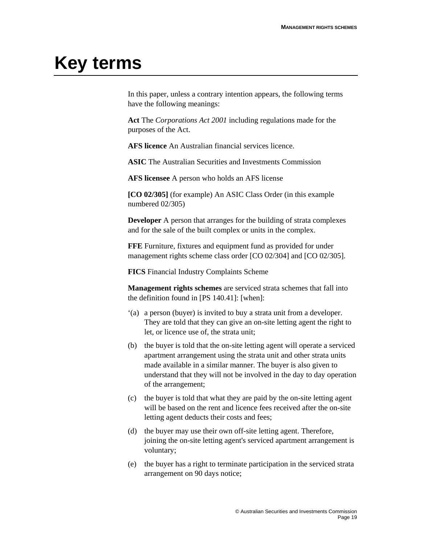# **Key terms**

In this paper, unless a contrary intention appears, the following terms have the following meanings:

**Act** The *Corporations Act 2001* including regulations made for the purposes of the Act.

**AFS licence** An Australian financial services licence.

**ASIC** The Australian Securities and Investments Commission

**AFS licensee** A person who holds an AFS license

**[CO 02/305]** (for example) An ASIC Class Order (in this example numbered 02/305)

**Developer** A person that arranges for the building of strata complexes and for the sale of the built complex or units in the complex.

**FFE** Furniture, fixtures and equipment fund as provided for under management rights scheme class order [CO 02/304] and [CO 02/305].

**FICS** Financial Industry Complaints Scheme

**Management rights schemes** are serviced strata schemes that fall into the definition found in [PS 140.41]: [when]:

- '(a) a person (buyer) is invited to buy a strata unit from a developer. They are told that they can give an on-site letting agent the right to let, or licence use of, the strata unit;
- (b) the buyer is told that the on-site letting agent will operate a serviced apartment arrangement using the strata unit and other strata units made available in a similar manner. The buyer is also given to understand that they will not be involved in the day to day operation of the arrangement;
- (c) the buyer is told that what they are paid by the on-site letting agent will be based on the rent and licence fees received after the on-site letting agent deducts their costs and fees;
- (d) the buyer may use their own off-site letting agent. Therefore, joining the on-site letting agent's serviced apartment arrangement is voluntary;
- (e) the buyer has a right to terminate participation in the serviced strata arrangement on 90 days notice;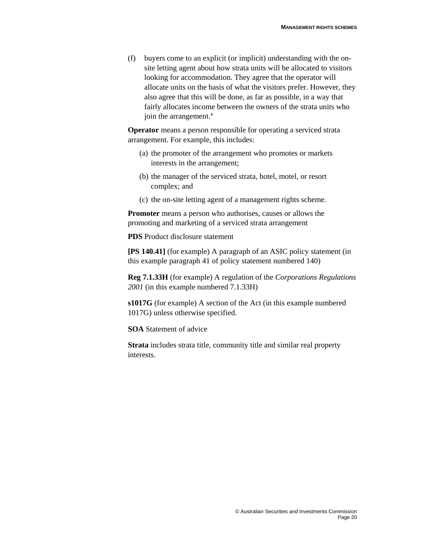(f) buyers come to an explicit (or implicit) understanding with the onsite letting agent about how strata units will be allocated to visitors looking for accommodation. They agree that the operator will allocate units on the basis of what the visitors prefer. However, they also agree that this will be done, as far as possible, in a way that fairly allocates income between the owners of the strata units who join the arrangement.**'**

**Operator** means a person responsible for operating a serviced strata arrangement. For example, this includes:

- (a) the promoter of the arrangement who promotes or markets interests in the arrangement;
- (b) the manager of the serviced strata, hotel, motel, or resort complex; and
- (c) the on-site letting agent of a management rights scheme.

**Promoter** means a person who authorises, causes or allows the promoting and marketing of a serviced strata arrangement

**PDS** Product disclosure statement

**[PS 140.41]** (for example) A paragraph of an ASIC policy statement (in this example paragraph 41 of policy statement numbered 140)

**Reg 7.1.33H** (for example) A regulation of the *Corporations Regulations 2001* (in this example numbered 7.1.33H)

**s1017G** (for example) A section of the Act (in this example numbered 1017G) unless otherwise specified.

**SOA** Statement of advice

**Strata** includes strata title, community title and similar real property interests.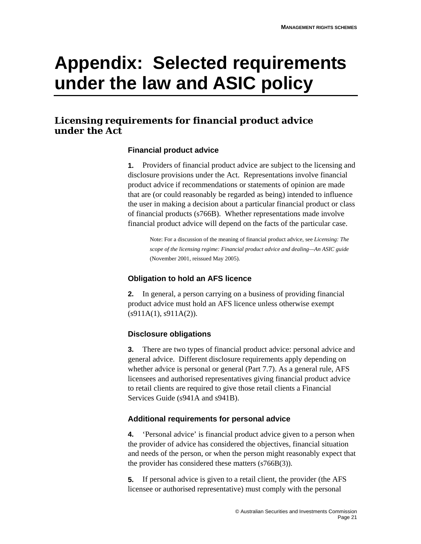# **Appendix: Selected requirements under the law and ASIC policy**

# **Licensing requirements for financial product advice under the Act**

## **Financial product advice**

**1.** Providers of financial product advice are subject to the licensing and disclosure provisions under the Act. Representations involve financial product advice if recommendations or statements of opinion are made that are (or could reasonably be regarded as being) intended to influence the user in making a decision about a particular financial product or class of financial products (s766B). Whether representations made involve financial product advice will depend on the facts of the particular case.

Note: For a discussion of the meaning of financial product advice, see *Licensing: The scope of the licensing regime: Financial product advice and dealing—An ASIC guide*  (November 2001, reissued May 2005).

## **Obligation to hold an AFS licence**

**2.** In general, a person carrying on a business of providing financial product advice must hold an AFS licence unless otherwise exempt  $(s911A(1), s911A(2)).$ 

## **Disclosure obligations**

**3.** There are two types of financial product advice: personal advice and general advice. Different disclosure requirements apply depending on whether advice is personal or general (Part 7.7). As a general rule, AFS licensees and authorised representatives giving financial product advice to retail clients are required to give those retail clients a Financial Services Guide (s941A and s941B).

## **Additional requirements for personal advice**

**4.** 'Personal advice' is financial product advice given to a person when the provider of advice has considered the objectives, financial situation and needs of the person, or when the person might reasonably expect that the provider has considered these matters (s766B(3)).

**5.** If personal advice is given to a retail client, the provider (the AFS licensee or authorised representative) must comply with the personal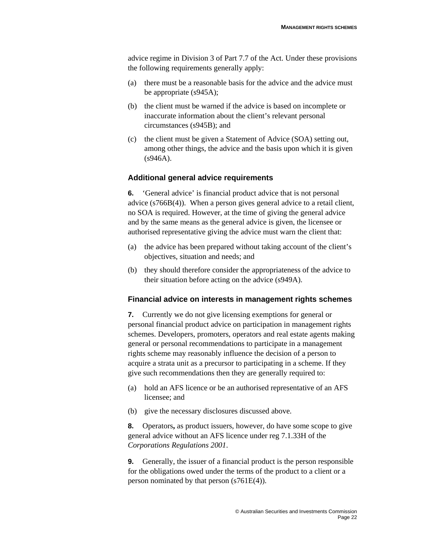advice regime in Division 3 of Part 7.7 of the Act. Under these provisions the following requirements generally apply:

- (a) there must be a reasonable basis for the advice and the advice must be appropriate (s945A);
- (b) the client must be warned if the advice is based on incomplete or inaccurate information about the client's relevant personal circumstances (s945B); and
- (c) the client must be given a Statement of Advice (SOA) setting out, among other things, the advice and the basis upon which it is given (s946A).

### **Additional general advice requirements**

**6.** 'General advice' is financial product advice that is not personal advice (s766B(4)). When a person gives general advice to a retail client, no SOA is required. However, at the time of giving the general advice and by the same means as the general advice is given, the licensee or authorised representative giving the advice must warn the client that:

- (a) the advice has been prepared without taking account of the client's objectives, situation and needs; and
- (b) they should therefore consider the appropriateness of the advice to their situation before acting on the advice (s949A).

### **Financial advice on interests in management rights schemes**

**7.** Currently we do not give licensing exemptions for general or personal financial product advice on participation in management rights schemes. Developers, promoters, operators and real estate agents making general or personal recommendations to participate in a management rights scheme may reasonably influence the decision of a person to acquire a strata unit as a precursor to participating in a scheme. If they give such recommendations then they are generally required to:

- (a) hold an AFS licence or be an authorised representative of an AFS licensee; and
- (b) give the necessary disclosures discussed above.

**8.** Operators**,** as product issuers, however, do have some scope to give general advice without an AFS licence under reg 7.1.33H of the *Corporations Regulations 2001*.

**9.** Generally, the issuer of a financial product is the person responsible for the obligations owed under the terms of the product to a client or a person nominated by that person (s761E(4)).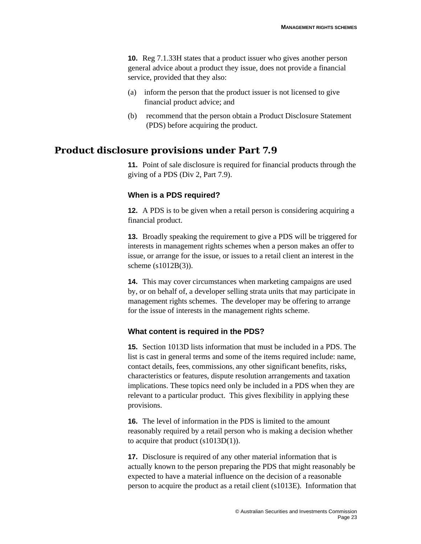**10.** Reg 7.1.33H states that a product issuer who gives another person general advice about a product they issue, does not provide a financial service, provided that they also:

- (a) inform the person that the product issuer is not licensed to give financial product advice; and
- (b) recommend that the person obtain a Product Disclosure Statement (PDS) before acquiring the product.

## **Product disclosure provisions under Part 7.9**

**11.** Point of sale disclosure is required for financial products through the giving of a PDS (Div 2, Part 7.9).

### **When is a PDS required?**

**12.** A PDS is to be given when a retail person is considering acquiring a financial product.

**13.** Broadly speaking the requirement to give a PDS will be triggered for interests in management rights schemes when a person makes an offer to issue, or arrange for the issue, or issues to a retail client an interest in the scheme (s1012B(3)).

**14.** This may cover circumstances when marketing campaigns are used by, or on behalf of, a developer selling strata units that may participate in management rights schemes. The developer may be offering to arrange for the issue of interests in the management rights scheme.

### **What content is required in the PDS?**

**15.** Section 1013D lists information that must be included in a PDS. The list is cast in general terms and some of the items required include: name, contact details, fees, commissions, any other significant benefits, risks, characteristics or features, dispute resolution arrangements and taxation implications. These topics need only be included in a PDS when they are relevant to a particular product. This gives flexibility in applying these provisions.

**16.** The level of information in the PDS is limited to the amount reasonably required by a retail person who is making a decision whether to acquire that product (s1013D(1)).

**17.** Disclosure is required of any other material information that is actually known to the person preparing the PDS that might reasonably be expected to have a material influence on the decision of a reasonable person to acquire the product as a retail client (s1013E). Information that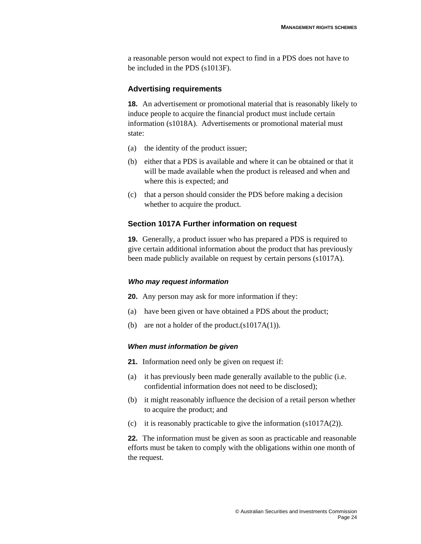a reasonable person would not expect to find in a PDS does not have to be included in the PDS (s1013F).

### **Advertising requirements**

**18.** An advertisement or promotional material that is reasonably likely to induce people to acquire the financial product must include certain information (s1018A). Advertisements or promotional material must state:

- (a) the identity of the product issuer;
- (b) either that a PDS is available and where it can be obtained or that it will be made available when the product is released and when and where this is expected; and
- (c) that a person should consider the PDS before making a decision whether to acquire the product.

### **Section 1017A Further information on request**

**19.** Generally, a product issuer who has prepared a PDS is required to give certain additional information about the product that has previously been made publicly available on request by certain persons (s1017A).

### *Who may request information*

**20.** Any person may ask for more information if they:

- (a) have been given or have obtained a PDS about the product;
- (b) are not a holder of the product.(s1017A(1)).

#### *When must information be given*

**21.** Information need only be given on request if:

- (a) it has previously been made generally available to the public (i.e. confidential information does not need to be disclosed);
- (b) it might reasonably influence the decision of a retail person whether to acquire the product; and
- (c) it is reasonably practicable to give the information  $(s1017A(2))$ .

**22.** The information must be given as soon as practicable and reasonable efforts must be taken to comply with the obligations within one month of the request.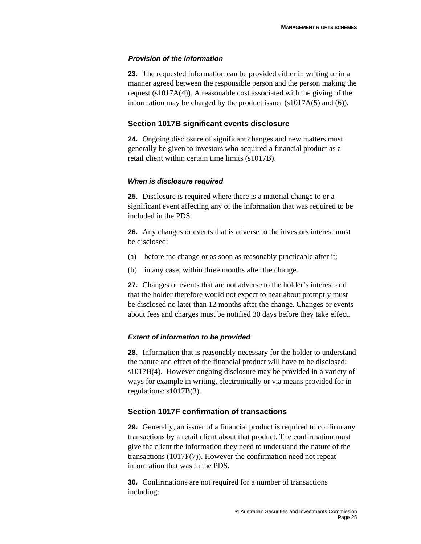### *Provision of the information*

**23.** The requested information can be provided either in writing or in a manner agreed between the responsible person and the person making the request (s1017A(4)). A reasonable cost associated with the giving of the information may be charged by the product issuer (s1017A(5) and (6)).

### **Section 1017B significant events disclosure**

**24.** Ongoing disclosure of significant changes and new matters must generally be given to investors who acquired a financial product as a retail client within certain time limits (s1017B).

### *When is disclosure required*

**25.** Disclosure is required where there is a material change to or a significant event affecting any of the information that was required to be included in the PDS.

**26.** Any changes or events that is adverse to the investors interest must be disclosed:

- (a) before the change or as soon as reasonably practicable after it;
- (b) in any case, within three months after the change.

**27.** Changes or events that are not adverse to the holder's interest and that the holder therefore would not expect to hear about promptly must be disclosed no later than 12 months after the change. Changes or events about fees and charges must be notified 30 days before they take effect.

### *Extent of information to be provided*

**28.** Information that is reasonably necessary for the holder to understand the nature and effect of the financial product will have to be disclosed: s1017B(4). However ongoing disclosure may be provided in a variety of ways for example in writing, electronically or via means provided for in regulations: s1017B(3).

### **Section 1017F confirmation of transactions**

**29.** Generally, an issuer of a financial product is required to confirm any transactions by a retail client about that product. The confirmation must give the client the information they need to understand the nature of the transactions (1017F(7)). However the confirmation need not repeat information that was in the PDS.

**30.** Confirmations are not required for a number of transactions including: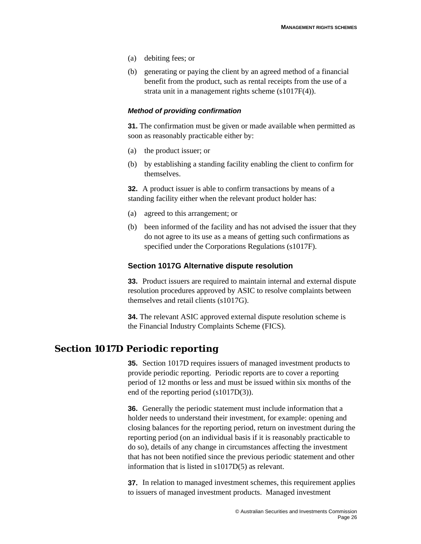- (a) debiting fees; or
- (b) generating or paying the client by an agreed method of a financial benefit from the product, such as rental receipts from the use of a strata unit in a management rights scheme (s1017F(4)).

### *Method of providing confirmation*

**31.** The confirmation must be given or made available when permitted as soon as reasonably practicable either by:

- (a) the product issuer; or
- (b) by establishing a standing facility enabling the client to confirm for themselves.

**32.** A product issuer is able to confirm transactions by means of a standing facility either when the relevant product holder has:

- (a) agreed to this arrangement; or
- (b) been informed of the facility and has not advised the issuer that they do not agree to its use as a means of getting such confirmations as specified under the Corporations Regulations (s1017F).

### **Section 1017G Alternative dispute resolution**

**33.** Product issuers are required to maintain internal and external dispute resolution procedures approved by ASIC to resolve complaints between themselves and retail clients (s1017G).

**34.** The relevant ASIC approved external dispute resolution scheme is the Financial Industry Complaints Scheme (FICS).

## **Section 1017D Periodic reporting**

**35.** Section 1017D requires issuers of managed investment products to provide periodic reporting. Periodic reports are to cover a reporting period of 12 months or less and must be issued within six months of the end of the reporting period (s1017D(3)).

**36.** Generally the periodic statement must include information that a holder needs to understand their investment, for example: opening and closing balances for the reporting period, return on investment during the reporting period (on an individual basis if it is reasonably practicable to do so), details of any change in circumstances affecting the investment that has not been notified since the previous periodic statement and other information that is listed in s1017D(5) as relevant.

**37.** In relation to managed investment schemes, this requirement applies to issuers of managed investment products. Managed investment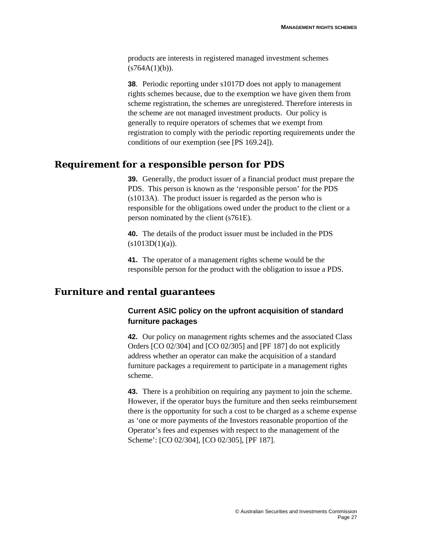products are interests in registered managed investment schemes  $(s764A(1)(b)).$ 

**38**. Periodic reporting under s1017D does not apply to management rights schemes because, due to the exemption we have given them from scheme registration, the schemes are unregistered. Therefore interests in the scheme are not managed investment products. Our policy is generally to require operators of schemes that we exempt from registration to comply with the periodic reporting requirements under the conditions of our exemption (see [PS 169.24]).

## **Requirement for a responsible person for PDS**

**39.** Generally, the product issuer of a financial product must prepare the PDS. This person is known as the 'responsible person' for the PDS (s1013A). The product issuer is regarded as the person who is responsible for the obligations owed under the product to the client or a person nominated by the client (s761E).

**40.** The details of the product issuer must be included in the PDS  $(s1013D(1)(a))$ .

**41.** The operator of a management rights scheme would be the responsible person for the product with the obligation to issue a PDS.

# **Furniture and rental guarantees**

## **Current ASIC policy on the upfront acquisition of standard furniture packages**

**42.** Our policy on management rights schemes and the associated Class Orders [CO 02/304] and [CO 02/305] and [PF 187] do not explicitly address whether an operator can make the acquisition of a standard furniture packages a requirement to participate in a management rights scheme.

**43.** There is a prohibition on requiring any payment to join the scheme. However, if the operator buys the furniture and then seeks reimbursement there is the opportunity for such a cost to be charged as a scheme expense as 'one or more payments of the Investors reasonable proportion of the Operator's fees and expenses with respect to the management of the Scheme': [CO 02/304], [CO 02/305], [PF 187].